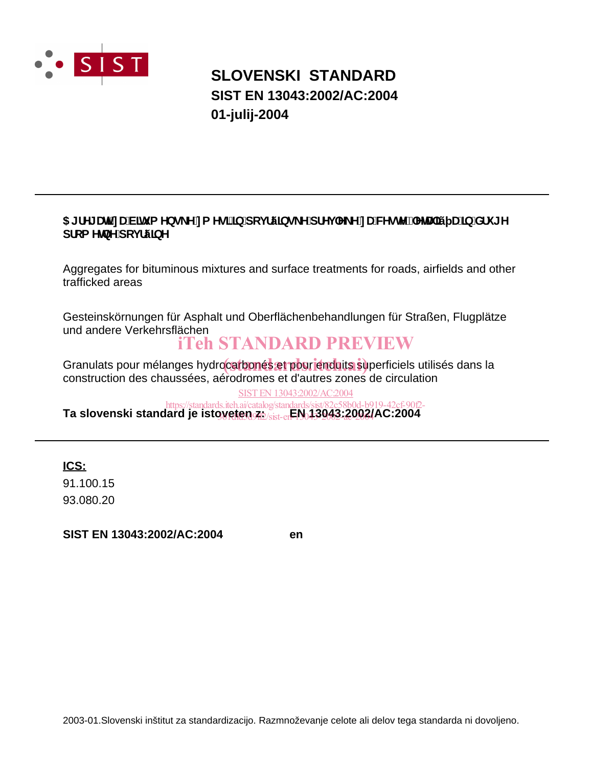

## **SLOVENSKI STANDARD SIST EN 13043:2002/AC:2004 01-julij-2004**

### 5[fY[U]'nUV]hi a Ybg\_Y'na Yg]']b'dcjfý]bg\_Y'dfYj `Y\_Y'nUWYghYž`YhJ]ý U]b'Xfi [Y dfca Y**lbY** dci fýlbY

Aggregates for bituminous mixtures and surface treatments for roads, airfields and other trafficked areas

Gesteinskörnungen für Asphalt und Oberflächenbehandlungen für Straßen, Flugplätze und andere Verkehrsflächen

## iTeh STANDARD PREVIEW

Granulats pour mélanges hydrocarbonés et pour enduits superficiels utilisés dans la<br>construction des chause (es a éja dramas et d'autres perses de circulation construction des chaussées, aérodromes et d'autres zones de circulation

**Ta slovenski standard je istoveten z: EN 13043:2002/AC:2004** SIST EN 13043:2002/AC:2004 https://standards.iteh.ai/catalog/standards/sist/82c58b0d-b919-42cf-90f2- 386160342/sist-en-19043-2003-20024

**ICS:**

93.080.20 91.100.15

**SIST EN 13043:2002/AC:2004 en**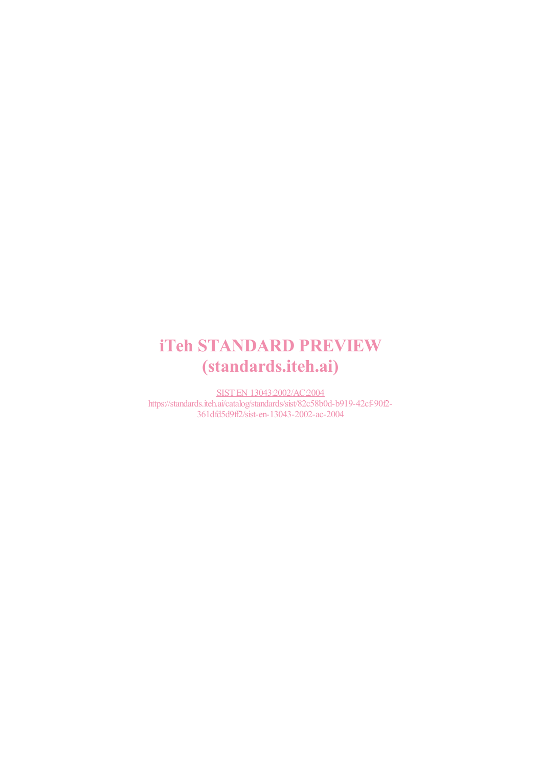# iTeh STANDARD PREVIEW (standards.iteh.ai)

SIST EN 13043:2002/AC:2004 https://standards.iteh.ai/catalog/standards/sist/82c58b0d-b919-42cf-90f2- 361dfd5d9ff2/sist-en-13043-2002-ac-2004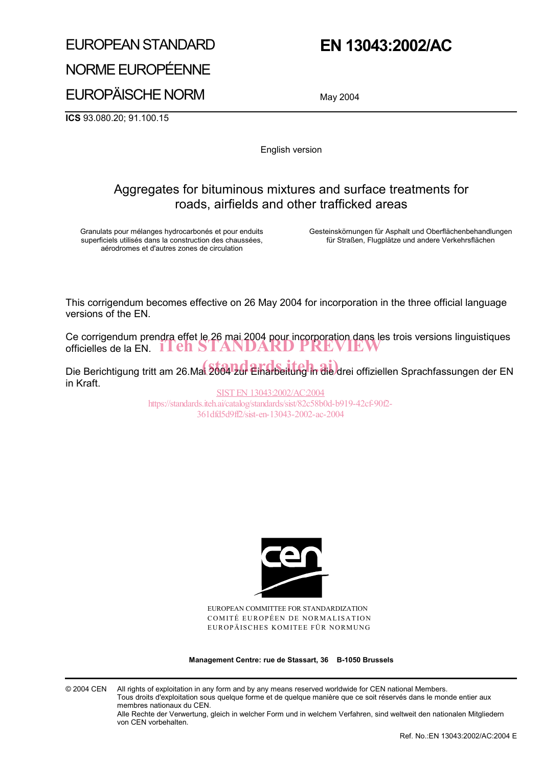### EUROPEAN STANDARD

## **EN 13043:2002/AC**

NORME EUROPÉENNE

EUROPÄISCHE NORM

May 2004

**ICS** 93.080.20; 91.100.15

English version

### Aggregates for bituminous mixtures and surface treatments for roads, airfields and other trafficked areas

Granulats pour mélanges hydrocarbonés et pour enduits superficiels utilisés dans la construction des chaussées, aérodromes et d'autres zones de circulation

Gesteinskörnungen für Asphalt und Oberflächenbehandlungen für Straßen, Flugplätze und andere Verkehrsflächen

This corrigendum becomes effective on 26 May 2004 for incorporation in the three official language versions of the EN.

Ce corrigendum prendra effet le 26 mai 2004 pour incorporation dans les trois versions linguistiques Ce comgenaum prengra eller le zo mar zou4 pour incorporation dans les<br>officielles de la EN. ITEN STANDARD PREVIEW

Die Berichtigung tritt am 26.Mai 2004 2ur Einarbeitung in die drei offiziellen Sprachfassungen der EN in Kraft.

SIST EN 13043:2002/AC:2004 https://standards.iteh.ai/catalog/standards/sist/82c58b0d-b919-42cf-90f2- 361dfd5d9ff2/sist-en-13043-2002-ac-2004



EUROPEAN COMMITTEE FOR STANDARDIZATION COMITÉ EUROPÉEN DE NORMALISATION EUROPÄISCHES KOMITEE FÜR NORMUNG

**Management Centre: rue de Stassart, 36 B-1050 Brussels** 

© 2004 CEN All rights of exploitation in any form and by any means reserved worldwide for CEN national Members. Tous droits d'exploitation sous quelque forme et de quelque manière que ce soit réservés dans le monde entier aux membres nationaux du CEN.

Alle Rechte der Verwertung, gleich in welcher Form und in welchem Verfahren, sind weltweit den nationalen Mitgliedern von CEN vorbehalten.